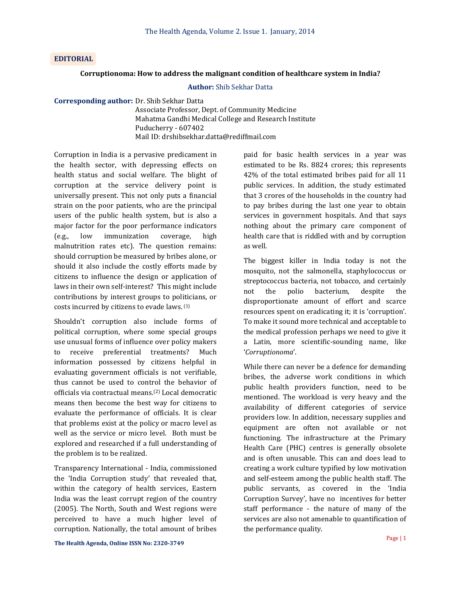# **EDITORIAL**

#### **Corruptionoma: How to address the malignant condition of healthcare system in India?**

### **Author:** Shib Sekhar Datta

**Corresponding author:** Dr. Shib Sekhar Datta

Associate Professor, Dept. of Community Medicine Mahatma Gandhi Medical College and Research Institute Puducherry - 607402 Mail ID: drshibsekhar.datta@rediffmail.com

Corruption in India is a pervasive predicament in the health sector, with depressing effects on health status and social welfare. The blight of corruption at the service delivery point is universally present. This not only puts a financial strain on the poor patients, who are the principal users of the public health system, but is also a major factor for the poor performance indicators (e.g., low immunization coverage, high malnutrition rates etc). The question remains: should corruption be measured by bribes alone, or should it also include the costly efforts made by citizens to influence the design or application of laws in their own self-interest? This might include contributions by interest groups to politicians, or costs incurred by citizens to evade laws. (1)

Shouldn't corruption also include forms of political corruption, where some special groups use unusual forms of influence over policy makers to receive preferential treatments? Much information possessed by citizens helpful in evaluating government officials is not verifiable, thus cannot be used to control the behavior of officials via contractual means.(2) Local democratic means then become the best way for citizens to evaluate the performance of officials. It is clear that problems exist at the policy or macro level as well as the service or micro level. Both must be explored and researched if a full understanding of the problem is to be realized.

Transparency International - India, commissioned the 'India Corruption study' that revealed that, within the category of health services, Eastern India was the least corrupt region of the country (2005). The North, South and West regions were perceived to have a much higher level of corruption. Nationally, the total amount of bribes

paid for basic health services in a year was estimated to be Rs. 8824 crores; this represents 42% of the total estimated bribes paid for all 11 public services. In addition, the study estimated that 3 crores of the households in the country had to pay bribes during the last one year to obtain services in government hospitals. And that says nothing about the primary care component of health care that is riddled with and by corruption as well.

The biggest killer in India today is not the mosquito, not the salmonella, staphylococcus or streptococcus bacteria, not tobacco, and certainly not the polio bacterium, despite the disproportionate amount of effort and scarce resources spent on eradicating it; it is 'corruption'. To make it sound more technical and acceptable to the medical profession perhaps we need to give it a Latin, more scientific-sounding name, like '*Corruptionoma*'.

While there can never be a defence for demanding bribes, the adverse work conditions in which public health providers function, need to be mentioned. The workload is very heavy and the availability of different categories of service providers low. In addition, necessary supplies and equipment are often not available or not functioning. The infrastructure at the Primary Health Care (PHC) centres is generally obsolete and is often unusable. This can and does lead to creating a work culture typified by low motivation and self-esteem among the public health staff. The public servants, as covered in the 'India Corruption Survey', have no incentives for better staff performance - the nature of many of the services are also not amenable to quantification of the performance quality.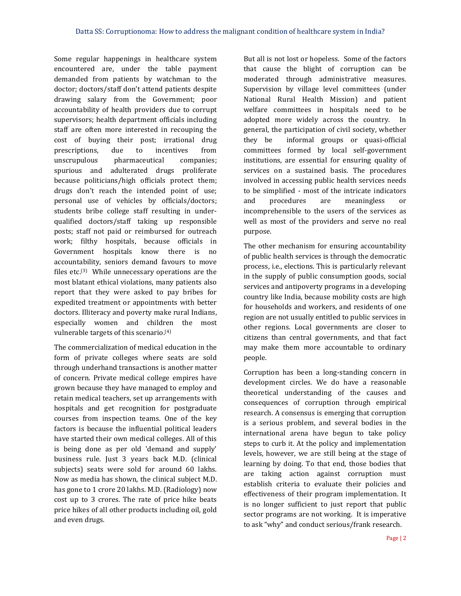Some regular happenings in healthcare system encountered are, under the table payment demanded from patients by watchman to the doctor; doctors/staff don't attend patients despite drawing salary from the Government; poor accountability of health providers due to corrupt supervisors; health department officials including staff are often more interested in recouping the cost of buying their post; irrational drug prescriptions, due to incentives from unscrupulous pharmaceutical companies; spurious and adulterated drugs proliferate because politicians/high officials protect them; drugs don't reach the intended point of use; personal use of vehicles by officials/doctors; students bribe college staff resulting in underqualified doctors/staff taking up responsible posts; staff not paid or reimbursed for outreach work; filthy hospitals, because officials in Government hospitals know there is no accountability, seniors demand favours to move files etc.(3) While unnecessary operations are the most blatant ethical violations, many patients also report that they were asked to pay bribes for expedited treatment or appointments with better doctors. Illiteracy and poverty make rural Indians, especially women and children the most vulnerable targets of this scenario. (4)

The commercialization of medical education in the form of private colleges where seats are sold through underhand transactions is another matter of concern. Private medical college empires have grown because they have managed to employ and retain medical teachers, set up arrangements with hospitals and get recognition for postgraduate courses from inspection teams. One of the key factors is because the influential political leaders have started their own medical colleges. All of this is being done as per old 'demand and supply' business rule. Just 3 years back M.D. (clinical subjects) seats were sold for around 60 lakhs. Now as media has shown, the clinical subject M.D. has gone to 1 crore 20 lakhs. M.D. (Radiology) now cost up to 3 crores. The rate of price hike beats price hikes of all other products including oil, gold and even drugs.

But all is not lost or hopeless. Some of the factors that cause the blight of corruption can be moderated through administrative measures. Supervision by village level committees (under National Rural Health Mission) and patient welfare committees in hospitals need to be adopted more widely across the country. In general, the participation of civil society, whether they be informal groups or quasi-official committees formed by local self-government institutions, are essential for ensuring quality of services on a sustained basis. The procedures involved in accessing public health services needs to be simplified - most of the intricate indicators and procedures are meaningless or incomprehensible to the users of the services as well as most of the providers and serve no real purpose.

The other mechanism for ensuring accountability of public health services is through the democratic process, i.e., elections. This is particularly relevant in the supply of public consumption goods, social services and antipoverty programs in a developing country like India, because mobility costs are high for households and workers, and residents of one region are not usually entitled to public services in other regions. Local governments are closer to citizens than central governments, and that fact may make them more accountable to ordinary people.

Corruption has been a long-standing concern in development circles. We do have a reasonable theoretical understanding of the causes and consequences of corruption through empirical research. A consensus is emerging that corruption is a serious problem, and several bodies in the international arena have begun to take policy steps to curb it. At the policy and implementation levels, however, we are still being at the stage of learning by doing. To that end, those bodies that are taking action against corruption must establish criteria to evaluate their policies and effectiveness of their program implementation. It is no longer sufficient to just report that public sector programs are not working. It is imperative to ask "why" and conduct serious/frank research.